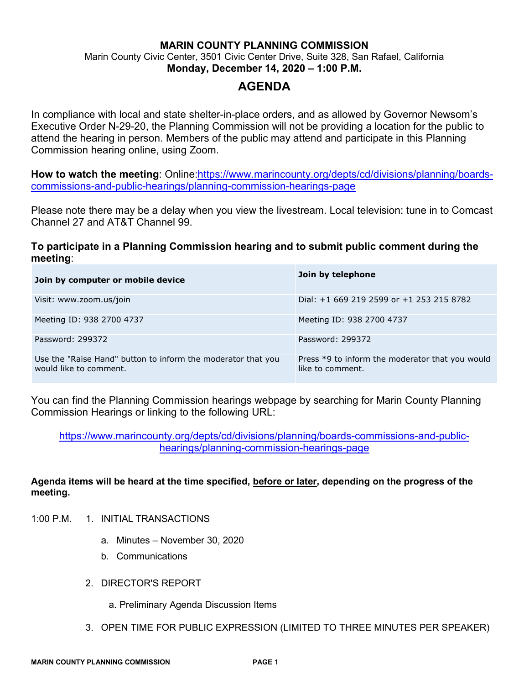## **MARIN COUNTY PLANNING COMMISSION** Marin County Civic Center, 3501 Civic Center Drive, Suite 328, San Rafael, California **Monday, December 14, 2020 – 1:00 P.M.**

# **AGENDA**

In compliance with local and state shelter-in-place orders, and as allowed by Governor Newsom's Executive Order N-29-20, the Planning Commission will not be providing a location for the public to attend the hearing in person. Members of the public may attend and participate in this Planning Commission hearing online, using Zoom.

**How to watch the meeting**: Online[:https://www.marincounty.org/depts/cd/divisions/planning/boards](https://www.marincounty.org/depts/cd/divisions/planning/boards-commissions-and-public-hearings/planning-commission-hearings-page)[commissions-and-public-hearings/planning-commission-hearings-page](https://www.marincounty.org/depts/cd/divisions/planning/boards-commissions-and-public-hearings/planning-commission-hearings-page) 

Please note there may be a delay when you view the livestream. Local television: tune in to Comcast Channel 27 and AT&T Channel 99.

## **To participate in a Planning Commission hearing and to submit public comment during the meeting**:

| Join by computer or mobile device                                                      | Join by telephone                                                   |
|----------------------------------------------------------------------------------------|---------------------------------------------------------------------|
| Visit: www.zoom.us/join                                                                | Dial: $+1$ 669 219 2599 or $+1$ 253 215 8782                        |
| Meeting ID: 938 2700 4737                                                              | Meeting ID: 938 2700 4737                                           |
| Password: 299372                                                                       | Password: 299372                                                    |
| Use the "Raise Hand" button to inform the moderator that you<br>would like to comment. | Press *9 to inform the moderator that you would<br>like to comment. |

You can find the Planning Commission hearings webpage by searching for Marin County Planning Commission Hearings or linking to the following URL:

[https://www.marincounty.org/depts/cd/divisions/planning/boards-commissions-and-public](https://www.marincounty.org/depts/cd/divisions/planning/boards-commissions-and-public-hearings/planning-commission-hearings-page)[hearings/planning-commission-hearings-page](https://www.marincounty.org/depts/cd/divisions/planning/boards-commissions-and-public-hearings/planning-commission-hearings-page)

### **Agenda items will be heard at the time specified, before or later, depending on the progress of the meeting.**

- 1:00 P.M. 1. INITIAL TRANSACTIONS
	- a. Minutes November 30, 2020
	- b. Communications
	- 2. DIRECTOR'S REPORT
		- a. Preliminary Agenda Discussion Items
	- 3. OPEN TIME FOR PUBLIC EXPRESSION (LIMITED TO THREE MINUTES PER SPEAKER)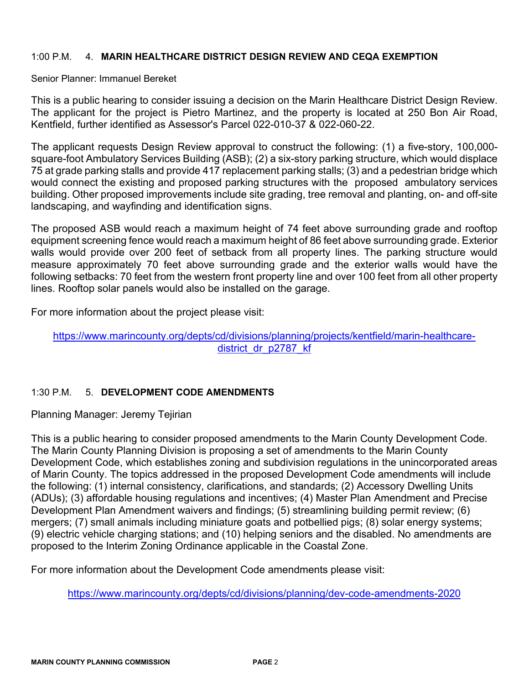#### 1:00 P.M. 4. **MARIN HEALTHCARE DISTRICT DESIGN REVIEW AND CEQA EXEMPTION**

Senior Planner: Immanuel Bereket

This is a public hearing to consider issuing a decision on the Marin Healthcare District Design Review. The applicant for the project is Pietro Martinez, and the property is located at 250 Bon Air Road, Kentfield, further identified as Assessor's Parcel 022-010-37 & 022-060-22.

The applicant requests Design Review approval to construct the following: (1) a five-story, 100,000 square-foot Ambulatory Services Building (ASB); (2) a six-story parking structure, which would displace 75 at grade parking stalls and provide 417 replacement parking stalls; (3) and a pedestrian bridge which would connect the existing and proposed parking structures with the proposed ambulatory services building. Other proposed improvements include site grading, tree removal and planting, on- and off-site landscaping, and wayfinding and identification signs.

The proposed ASB would reach a maximum height of 74 feet above surrounding grade and rooftop equipment screening fence would reach a maximum height of 86 feet above surrounding grade. Exterior walls would provide over 200 feet of setback from all property lines. The parking structure would measure approximately 70 feet above surrounding grade and the exterior walls would have the following setbacks: 70 feet from the western front property line and over 100 feet from all other property lines. Rooftop solar panels would also be installed on the garage.

For more information about the project please visit:

#### [https://www.marincounty.org/depts/cd/divisions/planning/projects/kentfield/marin-healthcare](https://www.marincounty.org/depts/cd/divisions/planning/projects/kentfield/marin-healthcare-district_dr_p2787_kf)[district\\_dr\\_p2787\\_kf](https://www.marincounty.org/depts/cd/divisions/planning/projects/kentfield/marin-healthcare-district_dr_p2787_kf)

## 1:30 P.M. 5. **DEVELOPMENT CODE AMENDMENTS**

Planning Manager: Jeremy Tejirian

This is a public hearing to consider proposed amendments to the Marin County Development Code. The Marin County Planning Division is proposing a set of amendments to the Marin County Development Code, which establishes zoning and subdivision regulations in the unincorporated areas of Marin County. The topics addressed in the proposed Development Code amendments will include the following: (1) internal consistency, clarifications, and standards; (2) Accessory Dwelling Units (ADUs); (3) affordable housing regulations and incentives; (4) Master Plan Amendment and Precise Development Plan Amendment waivers and findings; (5) streamlining building permit review; (6) mergers; (7) small animals including miniature goats and potbellied pigs; (8) solar energy systems; (9) electric vehicle charging stations; and (10) helping seniors and the disabled. No amendments are proposed to the Interim Zoning Ordinance applicable in the Coastal Zone.

For more information about the Development Code amendments please visit:

<https://www.marincounty.org/depts/cd/divisions/planning/dev-code-amendments-2020>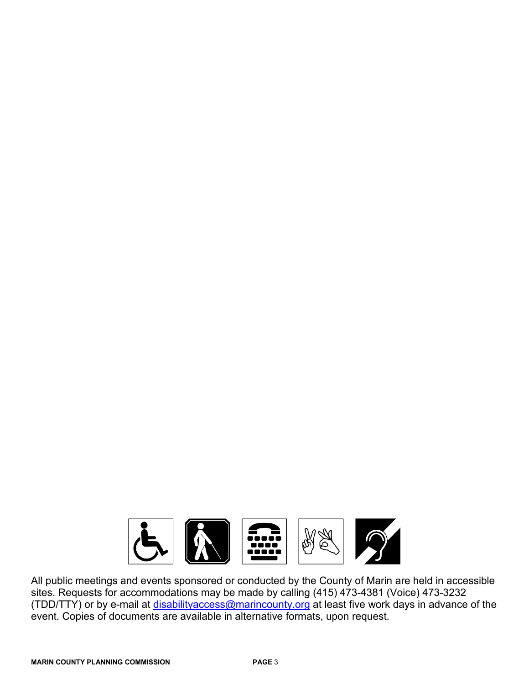

All public meetings and events sponsored or conducted by the County of Marin are held in accessible sites. Requests for accommodations may be made by calling (415) 473-4381 (Voice) 473-3232 (TDD/TTY) or by e-mail at [disabilityaccess@marincounty.org](mailto:disabilityaccess@marincounty.org) at least five work days in advance of the event. Copies of documents are available in alternative formats, upon request.